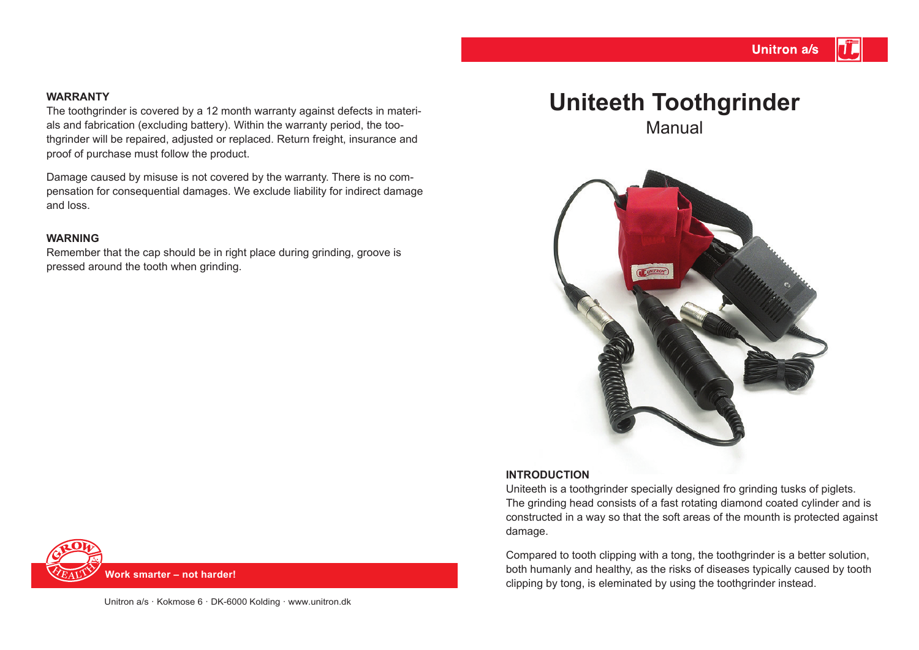#### **WARRANTY**

The toothgrinder is covered by a 12 month warranty against defects in materials and fabrication (excluding battery). Within the warranty period, the toothgrinder will be repaired, adjusted or replaced. Return freight, insurance and proof of purchase must follow the product.

Damage caused by misuse is not covered by the warranty. There is no compensation for consequential damages. We exclude liability for indirect damage and loss.

#### **WARNING**

Remember that the cap should be in right place during grinding, groove is pressed around the tooth when grinding.

# **Uniteeth Toothgrinder**

Manual



#### **INTRODUCTION**

Uniteeth is a toothgrinder specially designed fro grinding tusks of piglets. The grinding head consists of a fast rotating diamond coated cylinder and is constructed in a way so that the soft areas of the mounth is protected against damage.

Compared to tooth clipping with a tong, the toothgrinder is a better solution, both humanly and healthy, as the risks of diseases typically caused by tooth clipping by tong, is eleminated by using the toothgrinder instead.